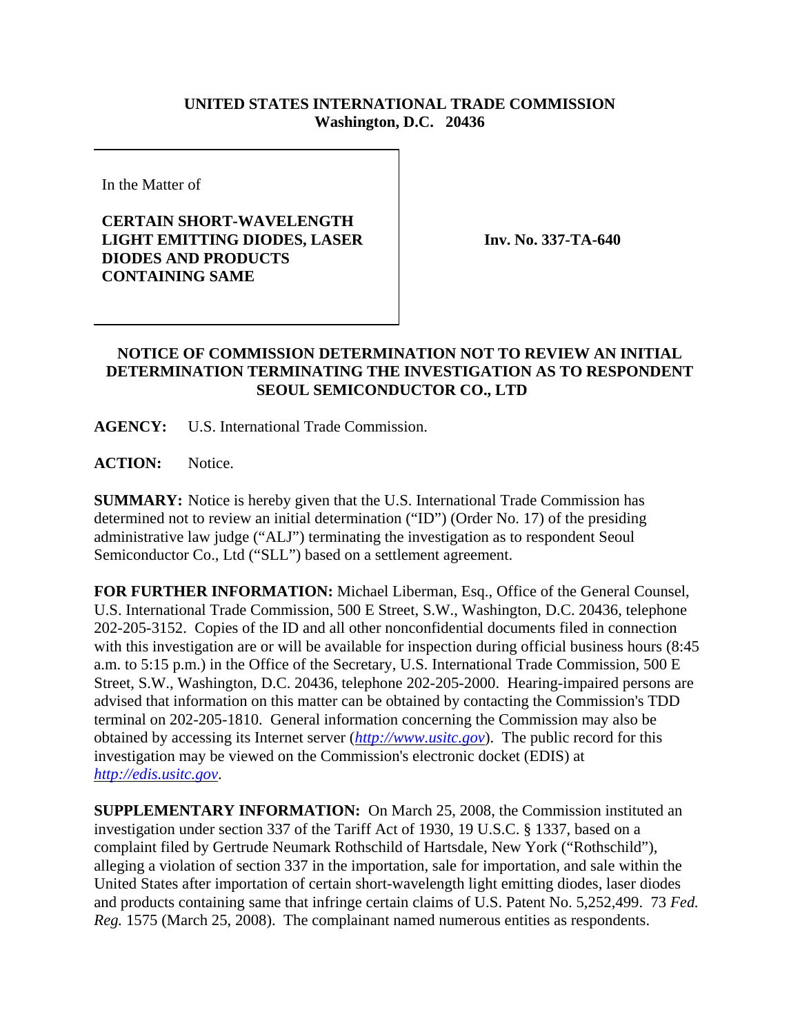## **UNITED STATES INTERNATIONAL TRADE COMMISSION Washington, D.C. 20436**

In the Matter of

## **CERTAIN SHORT-WAVELENGTH LIGHT EMITTING DIODES, LASER DIODES AND PRODUCTS CONTAINING SAME**

**Inv. No. 337-TA-640**

## **NOTICE OF COMMISSION DETERMINATION NOT TO REVIEW AN INITIAL DETERMINATION TERMINATING THE INVESTIGATION AS TO RESPONDENT SEOUL SEMICONDUCTOR CO., LTD**

**AGENCY:** U.S. International Trade Commission.

ACTION: Notice.

**SUMMARY:** Notice is hereby given that the U.S. International Trade Commission has determined not to review an initial determination ("ID") (Order No. 17) of the presiding administrative law judge ("ALJ") terminating the investigation as to respondent Seoul Semiconductor Co., Ltd ("SLL") based on a settlement agreement.

**FOR FURTHER INFORMATION:** Michael Liberman, Esq., Office of the General Counsel, U.S. International Trade Commission, 500 E Street, S.W., Washington, D.C. 20436, telephone 202-205-3152. Copies of the ID and all other nonconfidential documents filed in connection with this investigation are or will be available for inspection during official business hours (8:45 a.m. to 5:15 p.m.) in the Office of the Secretary, U.S. International Trade Commission, 500 E Street, S.W., Washington, D.C. 20436, telephone 202-205-2000. Hearing-impaired persons are advised that information on this matter can be obtained by contacting the Commission's TDD terminal on 202-205-1810. General information concerning the Commission may also be obtained by accessing its Internet server (*http://www.usitc.gov*). The public record for this investigation may be viewed on the Commission's electronic docket (EDIS) at *http://edis.usitc.gov*.

**SUPPLEMENTARY INFORMATION:** On March 25, 2008, the Commission instituted an investigation under section 337 of the Tariff Act of 1930, 19 U.S.C. § 1337, based on a complaint filed by Gertrude Neumark Rothschild of Hartsdale, New York ("Rothschild"), alleging a violation of section 337 in the importation, sale for importation, and sale within the United States after importation of certain short-wavelength light emitting diodes, laser diodes and products containing same that infringe certain claims of U.S. Patent No. 5,252,499. 73 *Fed. Reg.* 1575 (March 25, 2008). The complainant named numerous entities as respondents.